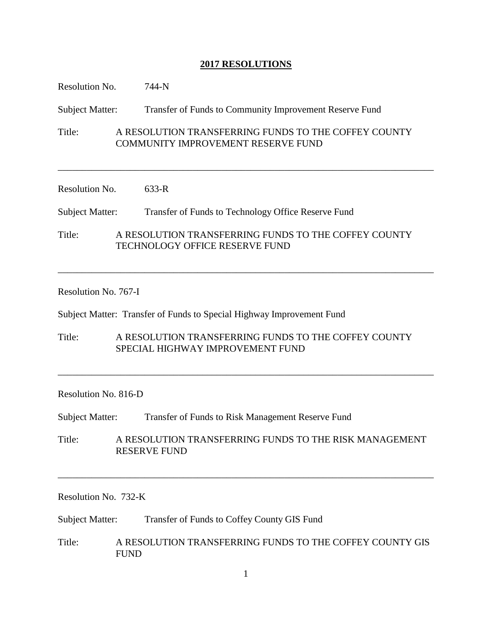# **2017 RESOLUTIONS**

| Resolution No.         |  | 744-N                                                                                             |
|------------------------|--|---------------------------------------------------------------------------------------------------|
| <b>Subject Matter:</b> |  | Transfer of Funds to Community Improvement Reserve Fund                                           |
| Title:                 |  | A RESOLUTION TRANSFERRING FUNDS TO THE COFFEY COUNTY<br><b>COMMUNITY IMPROVEMENT RESERVE FUND</b> |
| Resolution No.         |  | $633-R$                                                                                           |
| <b>Subject Matter:</b> |  | Transfer of Funds to Technology Office Reserve Fund                                               |
| Title:                 |  | A RESOLUTION TRANSFERRING FUNDS TO THE COFFEY COUNTY<br><b>TECHNOLOGY OFFICE RESERVE FUND</b>     |
|                        |  |                                                                                                   |

# Resolution No. 767-I

Subject Matter: Transfer of Funds to Special Highway Improvement Fund

Title: A RESOLUTION TRANSFERRING FUNDS TO THE COFFEY COUNTY SPECIAL HIGHWAY IMPROVEMENT FUND

\_\_\_\_\_\_\_\_\_\_\_\_\_\_\_\_\_\_\_\_\_\_\_\_\_\_\_\_\_\_\_\_\_\_\_\_\_\_\_\_\_\_\_\_\_\_\_\_\_\_\_\_\_\_\_\_\_\_\_\_\_\_\_\_\_\_\_\_\_\_\_\_\_\_\_\_\_\_

# Resolution No. 816-D

Subject Matter: Transfer of Funds to Risk Management Reserve Fund

Title: A RESOLUTION TRANSFERRING FUNDS TO THE RISK MANAGEMENT RESERVE FUND

\_\_\_\_\_\_\_\_\_\_\_\_\_\_\_\_\_\_\_\_\_\_\_\_\_\_\_\_\_\_\_\_\_\_\_\_\_\_\_\_\_\_\_\_\_\_\_\_\_\_\_\_\_\_\_\_\_\_\_\_\_\_\_\_\_\_\_\_\_\_\_\_\_\_\_\_\_\_

Resolution No. 732-K

Subject Matter: Transfer of Funds to Coffey County GIS Fund

Title: A RESOLUTION TRANSFERRING FUNDS TO THE COFFEY COUNTY GIS FUND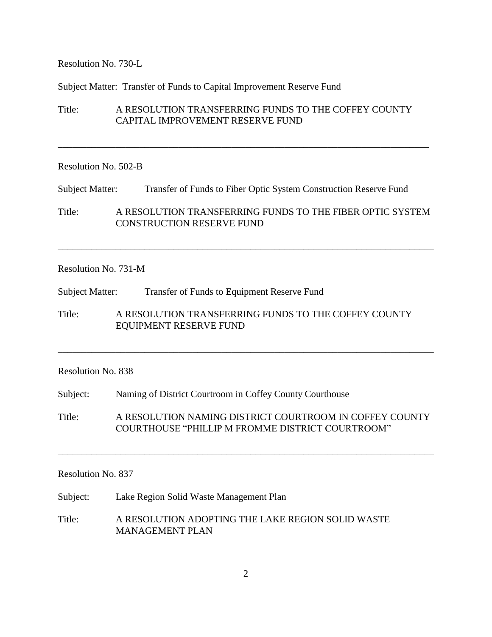Resolution No. 730-L

Subject Matter: Transfer of Funds to Capital Improvement Reserve Fund

# Title: A RESOLUTION TRANSFERRING FUNDS TO THE COFFEY COUNTY CAPITAL IMPROVEMENT RESERVE FUND

\_\_\_\_\_\_\_\_\_\_\_\_\_\_\_\_\_\_\_\_\_\_\_\_\_\_\_\_\_\_\_\_\_\_\_\_\_\_\_\_\_\_\_\_\_\_\_\_\_\_\_\_\_\_\_\_\_\_\_\_\_\_\_\_\_\_\_\_\_\_\_\_\_\_\_\_\_

## Resolution No. 502-B

Subject Matter: Transfer of Funds to Fiber Optic System Construction Reserve Fund

Title: A RESOLUTION TRANSFERRING FUNDS TO THE FIBER OPTIC SYSTEM CONSTRUCTION RESERVE FUND

\_\_\_\_\_\_\_\_\_\_\_\_\_\_\_\_\_\_\_\_\_\_\_\_\_\_\_\_\_\_\_\_\_\_\_\_\_\_\_\_\_\_\_\_\_\_\_\_\_\_\_\_\_\_\_\_\_\_\_\_\_\_\_\_\_\_\_\_\_\_\_\_\_\_\_\_\_\_

### Resolution No. 731-M

Subject Matter: Transfer of Funds to Equipment Reserve Fund

Title: A RESOLUTION TRANSFERRING FUNDS TO THE COFFEY COUNTY EQUIPMENT RESERVE FUND

## Resolution No. 838

Subject: Naming of District Courtroom in Coffey County Courthouse

Title: A RESOLUTION NAMING DISTRICT COURTROOM IN COFFEY COUNTY COURTHOUSE "PHILLIP M FROMME DISTRICT COURTROOM"

\_\_\_\_\_\_\_\_\_\_\_\_\_\_\_\_\_\_\_\_\_\_\_\_\_\_\_\_\_\_\_\_\_\_\_\_\_\_\_\_\_\_\_\_\_\_\_\_\_\_\_\_\_\_\_\_\_\_\_\_\_\_\_\_\_\_\_\_\_\_\_\_\_\_\_\_\_\_

\_\_\_\_\_\_\_\_\_\_\_\_\_\_\_\_\_\_\_\_\_\_\_\_\_\_\_\_\_\_\_\_\_\_\_\_\_\_\_\_\_\_\_\_\_\_\_\_\_\_\_\_\_\_\_\_\_\_\_\_\_\_\_\_\_\_\_\_\_\_\_\_\_\_\_\_\_\_

## Resolution No. 837

Subject: Lake Region Solid Waste Management Plan

Title: A RESOLUTION ADOPTING THE LAKE REGION SOLID WASTE MANAGEMENT PLAN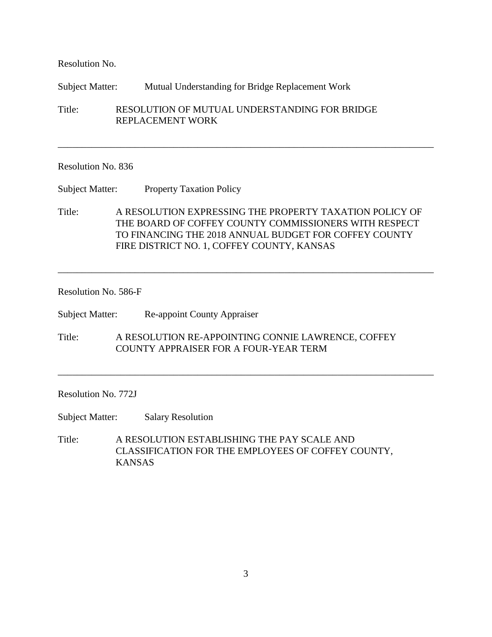Resolution No.

Subject Matter: Mutual Understanding for Bridge Replacement Work

Title: RESOLUTION OF MUTUAL UNDERSTANDING FOR BRIDGE REPLACEMENT WORK

## Resolution No. 836

Subject Matter: Property Taxation Policy

Title: A RESOLUTION EXPRESSING THE PROPERTY TAXATION POLICY OF THE BOARD OF COFFEY COUNTY COMMISSIONERS WITH RESPECT TO FINANCING THE 2018 ANNUAL BUDGET FOR COFFEY COUNTY FIRE DISTRICT NO. 1, COFFEY COUNTY, KANSAS

\_\_\_\_\_\_\_\_\_\_\_\_\_\_\_\_\_\_\_\_\_\_\_\_\_\_\_\_\_\_\_\_\_\_\_\_\_\_\_\_\_\_\_\_\_\_\_\_\_\_\_\_\_\_\_\_\_\_\_\_\_\_\_\_\_\_\_\_\_\_\_\_\_\_\_\_\_\_

\_\_\_\_\_\_\_\_\_\_\_\_\_\_\_\_\_\_\_\_\_\_\_\_\_\_\_\_\_\_\_\_\_\_\_\_\_\_\_\_\_\_\_\_\_\_\_\_\_\_\_\_\_\_\_\_\_\_\_\_\_\_\_\_\_\_\_\_\_\_\_\_\_\_\_\_\_\_

\_\_\_\_\_\_\_\_\_\_\_\_\_\_\_\_\_\_\_\_\_\_\_\_\_\_\_\_\_\_\_\_\_\_\_\_\_\_\_\_\_\_\_\_\_\_\_\_\_\_\_\_\_\_\_\_\_\_\_\_\_\_\_\_\_\_\_\_\_\_\_\_\_\_\_\_\_\_

## Resolution No. 586-F

Subject Matter: Re-appoint County Appraiser

Title: A RESOLUTION RE-APPOINTING CONNIE LAWRENCE, COFFEY COUNTY APPRAISER FOR A FOUR-YEAR TERM

Resolution No. 772J

Subject Matter: Salary Resolution

Title: A RESOLUTION ESTABLISHING THE PAY SCALE AND CLASSIFICATION FOR THE EMPLOYEES OF COFFEY COUNTY, KANSAS